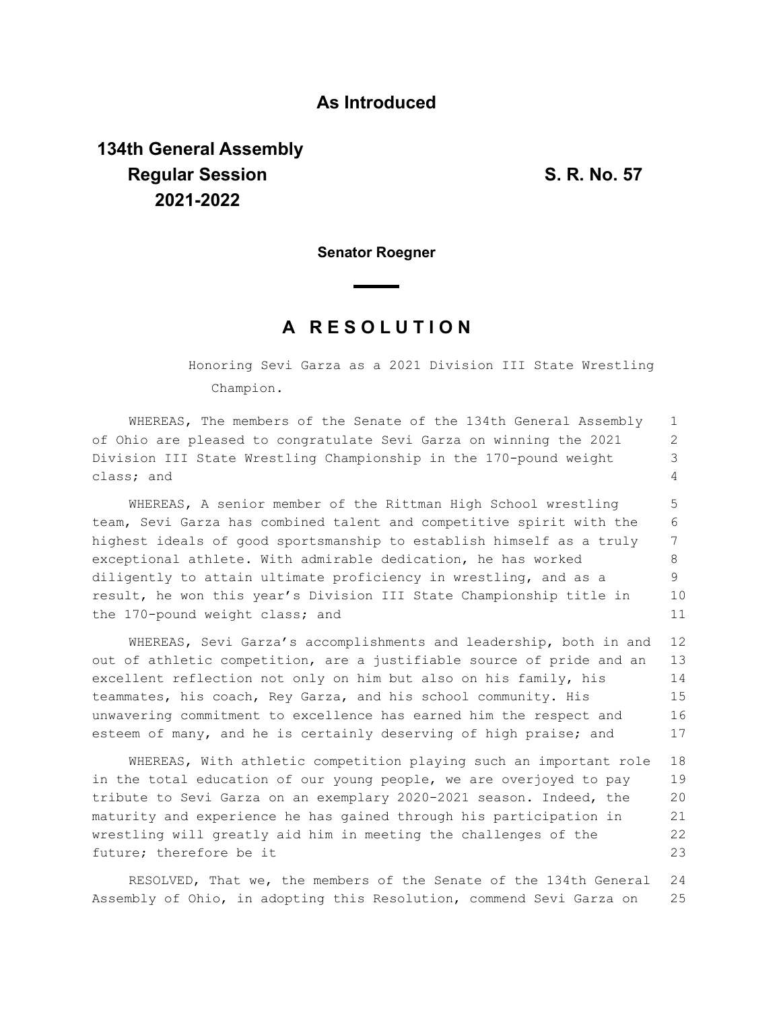## **As Introduced**

## **134th General Assembly Regular Session S. R. No. 57 2021-2022**

**Senator Roegner**

## **A R E S O L U T I O N**

Honoring Sevi Garza as a 2021 Division III State Wrestling Champion.

WHEREAS, The members of the Senate of the 134th General Assembly of Ohio are pleased to congratulate Sevi Garza on winning the 2021 Division III State Wrestling Championship in the 170-pound weight class; and 1 2 3 4

WHEREAS, A senior member of the Rittman High School wrestling team, Sevi Garza has combined talent and competitive spirit with the highest ideals of good sportsmanship to establish himself as a truly exceptional athlete. With admirable dedication, he has worked diligently to attain ultimate proficiency in wrestling, and as a result, he won this year's Division III State Championship title in the 170-pound weight class; and 5 6 7 8 9 10 11

WHEREAS, Sevi Garza's accomplishments and leadership, both in and out of athletic competition, are a justifiable source of pride and an excellent reflection not only on him but also on his family, his teammates, his coach, Rey Garza, and his school community. His unwavering commitment to excellence has earned him the respect and esteem of many, and he is certainly deserving of high praise; and 12 13 14 15 16 17

WHEREAS, With athletic competition playing such an important role in the total education of our young people, we are overjoyed to pay tribute to Sevi Garza on an exemplary 2020-2021 season. Indeed, the maturity and experience he has gained through his participation in wrestling will greatly aid him in meeting the challenges of the future; therefore be it 18 19 20 21 22 23

RESOLVED, That we, the members of the Senate of the 134th General Assembly of Ohio, in adopting this Resolution, commend Sevi Garza on 24 25